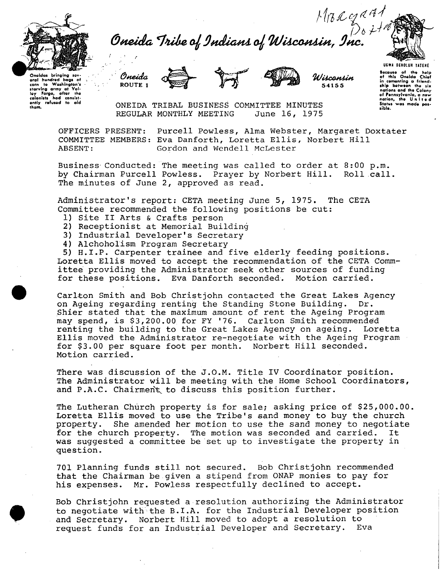

oral hundred bags of<br>corn to Washington's corn to Washington's<br>starving army at Vol-<br>ley Forgo, after the<br>colonists hod consist-<br>ently refused to aid *Mr. C.g. R. A.1*<br>Oneida Tribe of Indians of Wisconsin, Inc.





**541 S S** 

**UGWA DEKOLUH YATENE**  Because of the help<br>of this Oneida Chief<br>in cementing o friend-<br>ship between the six<br>nations and the Colony of Pennsylvania, a new<br>nation, the United<br>Status was mode possible.

ONEIDA TRIBAL BUSINESS COMMITTEE MINUTES<br>REGULAR MONTHLY MEETING June 16, 1975 REGULAR MONTHLY MEETING

**OFFICERS PRESENT: Purcell Powless, Alma Webster, Margaret Doxtater COMMITTEE MEMBERS: Eva Danforth, Loretta Ellis, Norbert Hill ABSENT: Gordon and Wendell McLester** 

**Business Conducted: The meeting was called to order at 8:00 p.m.**  by Chairman Purcell Powless. Prayer by Norbert Hill. **The minutes of June 2, approved as read.** 

**Administrator's report: CETA meeting June 5, 1975. The CETA Committee recommended the following positions be cut:** 

- **1) Site II Arts & Crafts person**
- **2) Receptionist at Memorial Building**
- **3) Industrial Developer's Secretary**
- **4) Alchoholism Program Secretary**

**5) H.I.P. Carpenter trainee and five elderly feeding positions. Loretta Ellis moved to accept the recommendation of the CETA Committee providing the Administrator seek other sources of funding for these positions. Eva Danforth seconded. Motion carried.** 

**Carlton Smith and Bob Christjohn contacted the Great Lakes Agency on Ageing regarding renting the Standing Stone Building. Dr. Shier stated that the maximum amount of rent the Ageing Program may spend, is \$3,200.00 for FY '76. Carlton Smith recommended renting the building to the Great Lakes Agency on ageing. Loretta Ellis moved the Administrator re-negotiate with the Ageing Program for \$3.00 per square foot per month. Norbert Hill seconded. Motion carried.** 

**There was discussion of the J.O.M. Title IV Coordinator position. The Administrator will be meeting with the Home School Coordinators,**  and P.A.C. Chairment to discuss this position further.

**The Lutheran Church property is for sale; asking price of \$25,000.00. Loretta Ellis moved to use the Tribe's sand money to buy the church property. She amended her motion to use the sand money to negotiate for the church property. The motion was seconded and carried. It was suggested a committee be set up to investigate the property in question.** 

**701 Planning funds still not secured. Bob Christjohn recommended that the Chairman be given a stipend from ONAP monies to pay for his expenses. Mr. Powless respectfully declined to accept.** 

**Bob Christjohn requested a resolution authorizing the Administrator to negotiate with the B.I.A. for the Industrial Developer position and Secretary. Norbert Hill moved to adopt a resolution to request funds for an Industrial Developer and Secretary. Eva**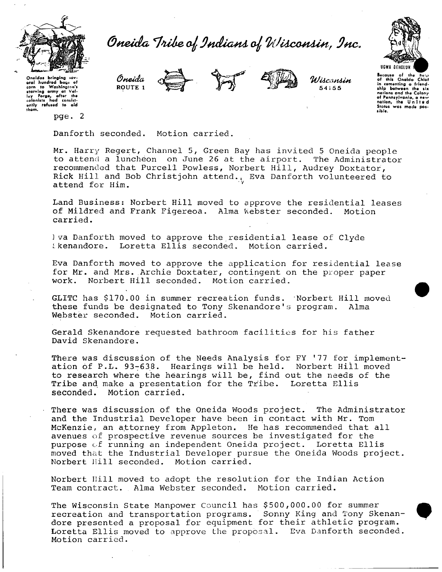

*Ofiteida ^Inihe, a]; 9ndia\*tl o^ WUcattlia, 9nc.* 



Onoidas bringing sov-<br>oral hundred bags of<br>corn to Washington's starving army at Vai-<br>Isy Forge, after the<br>colonists had consistcolonists had consistthem.

**pge.** 

*Oneida*  ROUTE 1



*®(IML\ IVilcatiU+t 54* 1 5 5

Becauto of tho huit> of Ihlt Onsid o Chief in cementing o frlendship between the six nation! *and* tha Colony ol Pennsylvania, a new nation, the United<br>Stotes was made poslible.

**Danforth seconded. Motion carried.** 

**Mr. Harry Regert, Channel 5, Green Bay has invited 5 Oneida people to attend a luncheon on June 26 at the airport. The Administrator recommended that Purcell Powless, Norbert Hill, Audrey Doxtator, Rick Hill and Bob Christjohn attend., Eva Danforth volunteered to attend for Him.** 

**Land Business: Norbert Hill moved to approve the residential leases of Mildred and Frank Figereoa. Alma Webster seconded. Motion carried.** 

**] va Danforth moved to approve the residential lease of Clyde skenandore. Loretta Ellis seconded. Motion carried.** 

**Eva Danforth moved to approve the application for residential lease for Mr. and Mrs. Archie Doxtater, contingent on the proper paper work. Norbert Hill seconded. Motion carried.** 

**GLITC has \$170.00 in summer recreation funds. Norbert Hill moved these funds be designated to Tony Skenandore's program. Alma Webster seconded. Motion carried.** 

**Gerald Skenandore requested bathroom facilities for his father David Skenandore.** 

**There was discussion of the Needs Analysis for FY** *'11* **for implementation of P.L. 93-638. Hearings will be held. Norbert Hill moved to research where the hearings will be, find out the needs of the Tribe and. make a presentation for the Tribe. Loretta Ellis seconded. Motion carried.** 

**There was discussion of the Oneida Woods project. The Administrator and the Industrial Developer have been in contact with Mr. Tom McKenzie, an attorney from Appleton. He has recommended that all avenues of prospective revenue sources be investigated for the purpose of running an independent Oneida project. Loretta Ellis moved that the Industrial Developer pursue the Oneida Woods project. Norbert Hill seconded. Motion carried.** 

**Norbert Ilill moved to adopt the resolution for the Indian Action Team contract. Alma Webster seconded. Motion carried.** 

**The Wisconsin State Manpower Council has \$500,000.00 for summer recreation and transportation programs. Sonny King and Tony Skenandore presented a proposal for equipment for their athletic program. Loretta Ellis moved to approve the proposal. Eva Danforth seconded. Motion carried.**